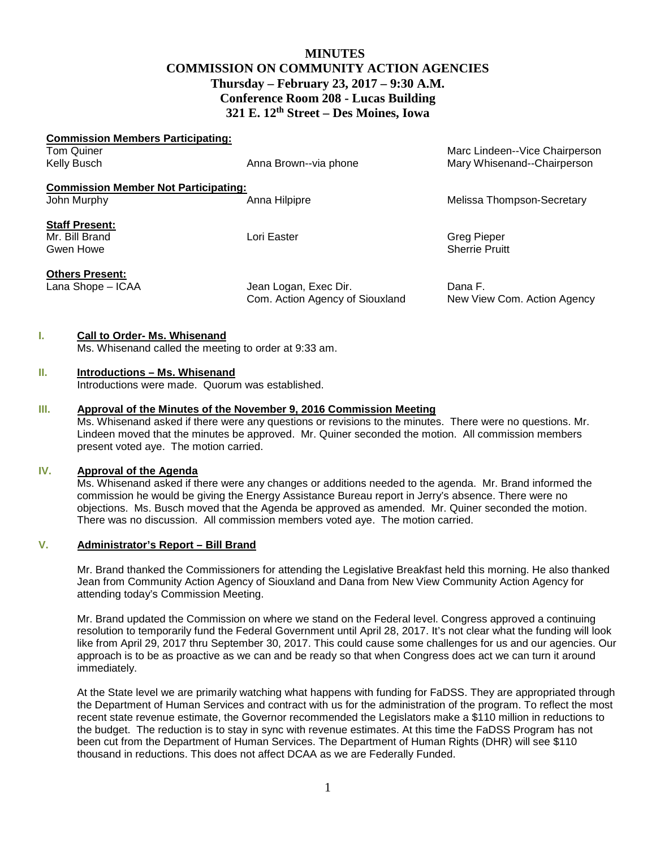# **MINUTES COMMISSION ON COMMUNITY ACTION AGENCIES Thursday – February 23, 2017 – 9:30 A.M. Conference Room 208 - Lucas Building 321 E. 12th Street – Des Moines, Iowa**

| <b>Commission Members Participating:</b>    |                                |
|---------------------------------------------|--------------------------------|
|                                             | Marc Lindeen--Vice Chairperson |
| Anna Brown--via phone                       | Mary Whisenand--Chairperson    |
| <b>Commission Member Not Participating:</b> |                                |
| Anna Hilpipre                               | Melissa Thompson-Secretary     |
|                                             |                                |
| Lori Easter                                 | <b>Greg Pieper</b>             |
|                                             | <b>Sherrie Pruitt</b>          |
|                                             |                                |
| Jean Logan, Exec Dir.                       | Dana F.                        |
| Com. Action Agency of Siouxland             | New View Com. Action Agency    |
|                                             |                                |

## **I. Call to Order- Ms. Whisenand**

Ms. Whisenand called the meeting to order at 9:33 am.

#### **II. Introductions – Ms. Whisenand**

Introductions were made. Quorum was established.

## **III. Approval of the Minutes of the November 9, 2016 Commission Meeting**

Ms. Whisenand asked if there were any questions or revisions to the minutes. There were no questions. Mr. Lindeen moved that the minutes be approved. Mr. Quiner seconded the motion. All commission members present voted aye. The motion carried.

# **IV. Approval of the Agenda**

Ms. Whisenand asked if there were any changes or additions needed to the agenda. Mr. Brand informed the commission he would be giving the Energy Assistance Bureau report in Jerry's absence. There were no objections. Ms. Busch moved that the Agenda be approved as amended. Mr. Quiner seconded the motion. There was no discussion. All commission members voted aye. The motion carried.

#### **V. Administrator's Report – Bill Brand**

Mr. Brand thanked the Commissioners for attending the Legislative Breakfast held this morning. He also thanked Jean from Community Action Agency of Siouxland and Dana from New View Community Action Agency for attending today's Commission Meeting.

Mr. Brand updated the Commission on where we stand on the Federal level. Congress approved a continuing resolution to temporarily fund the Federal Government until April 28, 2017. It's not clear what the funding will look like from April 29, 2017 thru September 30, 2017. This could cause some challenges for us and our agencies. Our approach is to be as proactive as we can and be ready so that when Congress does act we can turn it around immediately.

At the State level we are primarily watching what happens with funding for FaDSS. They are appropriated through the Department of Human Services and contract with us for the administration of the program. To reflect the most recent state revenue estimate, the Governor recommended the Legislators make a \$110 million in reductions to the budget. The reduction is to stay in sync with revenue estimates. At this time the FaDSS Program has not been cut from the Department of Human Services. The Department of Human Rights (DHR) will see \$110 thousand in reductions. This does not affect DCAA as we are Federally Funded.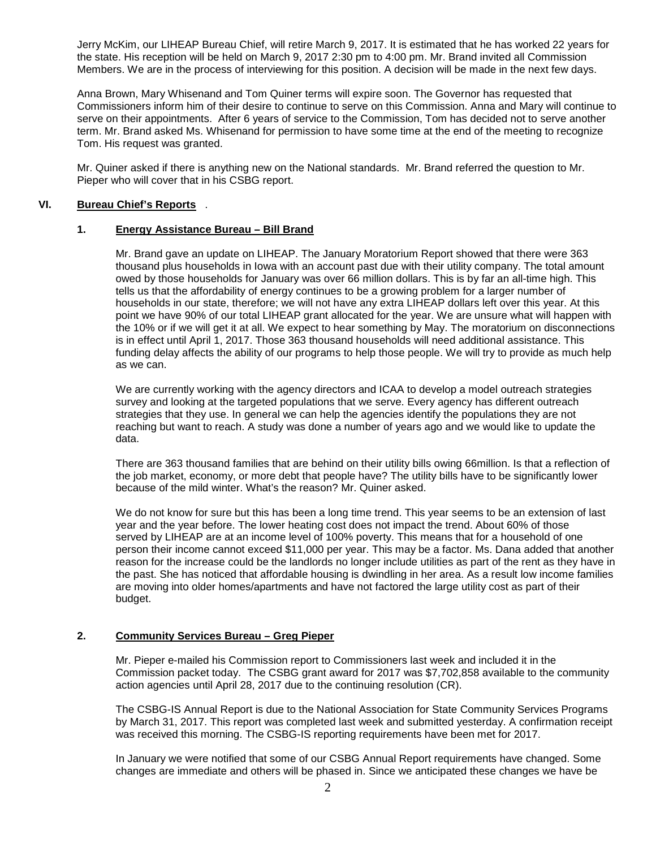Jerry McKim, our LIHEAP Bureau Chief, will retire March 9, 2017. It is estimated that he has worked 22 years for the state. His reception will be held on March 9, 2017 2:30 pm to 4:00 pm. Mr. Brand invited all Commission Members. We are in the process of interviewing for this position. A decision will be made in the next few days.

Anna Brown, Mary Whisenand and Tom Quiner terms will expire soon. The Governor has requested that Commissioners inform him of their desire to continue to serve on this Commission. Anna and Mary will continue to serve on their appointments. After 6 years of service to the Commission, Tom has decided not to serve another term. Mr. Brand asked Ms. Whisenand for permission to have some time at the end of the meeting to recognize Tom. His request was granted.

Mr. Quiner asked if there is anything new on the National standards. Mr. Brand referred the question to Mr. Pieper who will cover that in his CSBG report.

#### **VI. Bureau Chief's Reports** .

#### **1. Energy Assistance Bureau – Bill Brand**

Mr. Brand gave an update on LIHEAP. The January Moratorium Report showed that there were 363 thousand plus households in Iowa with an account past due with their utility company. The total amount owed by those households for January was over 66 million dollars. This is by far an all-time high. This tells us that the affordability of energy continues to be a growing problem for a larger number of households in our state, therefore; we will not have any extra LIHEAP dollars left over this year. At this point we have 90% of our total LIHEAP grant allocated for the year. We are unsure what will happen with the 10% or if we will get it at all. We expect to hear something by May. The moratorium on disconnections is in effect until April 1, 2017. Those 363 thousand households will need additional assistance. This funding delay affects the ability of our programs to help those people. We will try to provide as much help as we can.

We are currently working with the agency directors and ICAA to develop a model outreach strategies survey and looking at the targeted populations that we serve. Every agency has different outreach strategies that they use. In general we can help the agencies identify the populations they are not reaching but want to reach. A study was done a number of years ago and we would like to update the data.

There are 363 thousand families that are behind on their utility bills owing 66million. Is that a reflection of the job market, economy, or more debt that people have? The utility bills have to be significantly lower because of the mild winter. What's the reason? Mr. Quiner asked.

We do not know for sure but this has been a long time trend. This year seems to be an extension of last year and the year before. The lower heating cost does not impact the trend. About 60% of those served by LIHEAP are at an income level of 100% poverty. This means that for a household of one person their income cannot exceed \$11,000 per year. This may be a factor. Ms. Dana added that another reason for the increase could be the landlords no longer include utilities as part of the rent as they have in the past. She has noticed that affordable housing is dwindling in her area. As a result low income families are moving into older homes/apartments and have not factored the large utility cost as part of their budget.

#### **2. Community Services Bureau – Greg Pieper**

Mr. Pieper e-mailed his Commission report to Commissioners last week and included it in the Commission packet today. The CSBG grant award for 2017 was \$7,702,858 available to the community action agencies until April 28, 2017 due to the continuing resolution (CR).

The CSBG-IS Annual Report is due to the National Association for State Community Services Programs by March 31, 2017. This report was completed last week and submitted yesterday. A confirmation receipt was received this morning. The CSBG-IS reporting requirements have been met for 2017.

In January we were notified that some of our CSBG Annual Report requirements have changed. Some changes are immediate and others will be phased in. Since we anticipated these changes we have be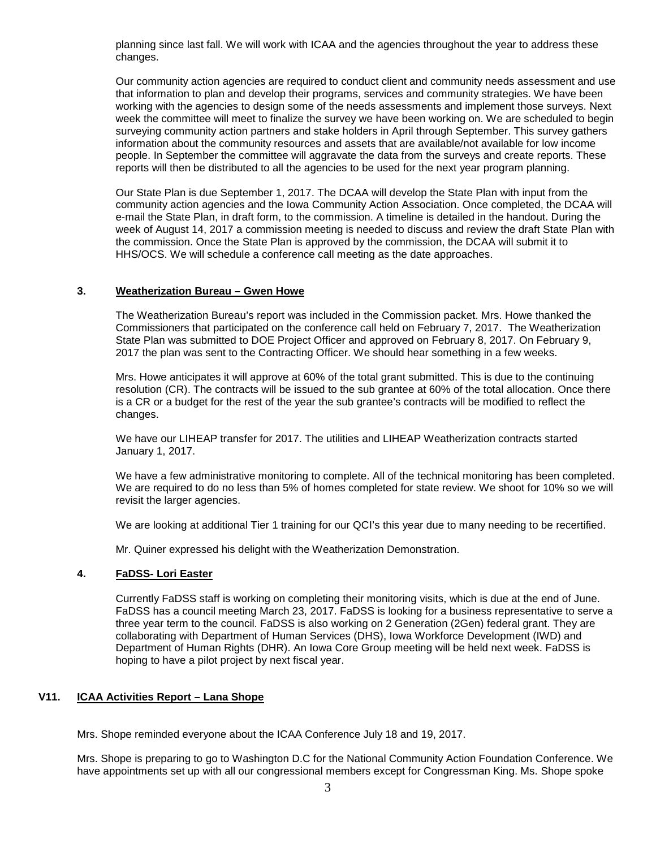planning since last fall. We will work with ICAA and the agencies throughout the year to address these changes.

Our community action agencies are required to conduct client and community needs assessment and use that information to plan and develop their programs, services and community strategies. We have been working with the agencies to design some of the needs assessments and implement those surveys. Next week the committee will meet to finalize the survey we have been working on. We are scheduled to begin surveying community action partners and stake holders in April through September. This survey gathers information about the community resources and assets that are available/not available for low income people. In September the committee will aggravate the data from the surveys and create reports. These reports will then be distributed to all the agencies to be used for the next year program planning.

Our State Plan is due September 1, 2017. The DCAA will develop the State Plan with input from the community action agencies and the Iowa Community Action Association. Once completed, the DCAA will e-mail the State Plan, in draft form, to the commission. A timeline is detailed in the handout. During the week of August 14, 2017 a commission meeting is needed to discuss and review the draft State Plan with the commission. Once the State Plan is approved by the commission, the DCAA will submit it to HHS/OCS. We will schedule a conference call meeting as the date approaches.

#### **3. Weatherization Bureau – Gwen Howe**

The Weatherization Bureau's report was included in the Commission packet. Mrs. Howe thanked the Commissioners that participated on the conference call held on February 7, 2017. The Weatherization State Plan was submitted to DOE Project Officer and approved on February 8, 2017. On February 9, 2017 the plan was sent to the Contracting Officer. We should hear something in a few weeks.

Mrs. Howe anticipates it will approve at 60% of the total grant submitted. This is due to the continuing resolution (CR). The contracts will be issued to the sub grantee at 60% of the total allocation. Once there is a CR or a budget for the rest of the year the sub grantee's contracts will be modified to reflect the changes.

We have our LIHEAP transfer for 2017. The utilities and LIHEAP Weatherization contracts started January 1, 2017.

We have a few administrative monitoring to complete. All of the technical monitoring has been completed. We are required to do no less than 5% of homes completed for state review. We shoot for 10% so we will revisit the larger agencies.

We are looking at additional Tier 1 training for our QCI's this year due to many needing to be recertified.

Mr. Quiner expressed his delight with the Weatherization Demonstration.

#### **4. FaDSS- Lori Easter**

Currently FaDSS staff is working on completing their monitoring visits, which is due at the end of June. FaDSS has a council meeting March 23, 2017. FaDSS is looking for a business representative to serve a three year term to the council. FaDSS is also working on 2 Generation (2Gen) federal grant. They are collaborating with Department of Human Services (DHS), Iowa Workforce Development (IWD) and Department of Human Rights (DHR). An Iowa Core Group meeting will be held next week. FaDSS is hoping to have a pilot project by next fiscal year.

## **V11. ICAA Activities Report – Lana Shope**

Mrs. Shope reminded everyone about the ICAA Conference July 18 and 19, 2017.

Mrs. Shope is preparing to go to Washington D.C for the National Community Action Foundation Conference. We have appointments set up with all our congressional members except for Congressman King. Ms. Shope spoke